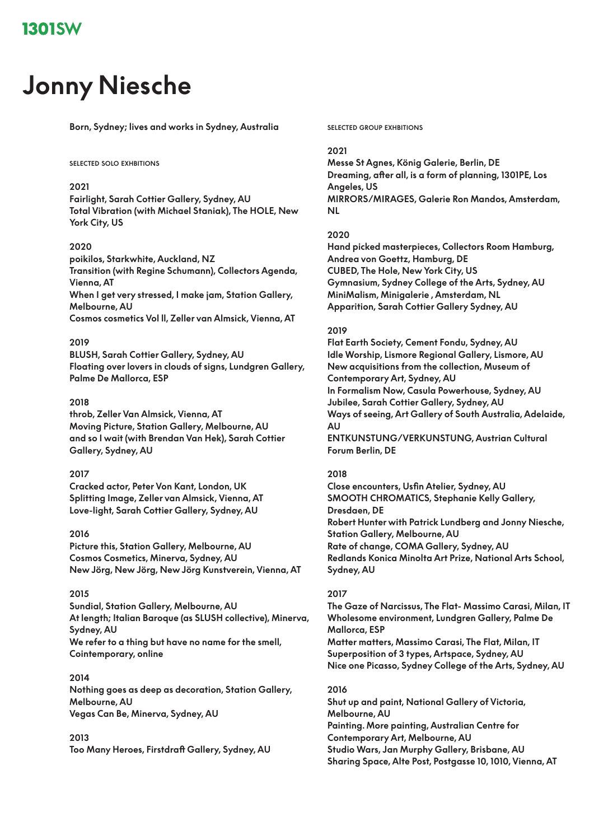# **Jonny Niesche**

**Born, Sydney; lives and works in Sydney, Australia**

#### **selected solo exhbitions**

# **2021**

**Fairlight, Sarah Cottier Gallery, Sydney, AU Total Vibration (with Michael Staniak), The HOLE, New York City, US**

# **2020**

**poikilos, Starkwhite, Auckland, NZ Transition (with Regine Schumann), Collectors Agenda, Vienna, AT When I get very stressed, I make jam, Station Gallery, Melbourne, AU Cosmos cosmetics Vol ll, Zeller van Almsick, Vienna, AT**

# **2019**

**BLUSH, Sarah Cottier Gallery, Sydney, AU Floating over lovers in clouds of signs, Lundgren Gallery, Palme De Mallorca, ESP**

# **2018**

**throb, Zeller Van Almsick, Vienna, AT Moving Picture, Station Gallery, Melbourne, AU and so I wait (with Brendan Van Hek), Sarah Cottier Gallery, Sydney, AU**

# **2017**

**Cracked actor, Peter Von Kant, London, UK Splitting Image, Zeller van Almsick, Vienna, AT Love-light, Sarah Cottier Gallery, Sydney, AU**

# **2016**

**Picture this, Station Gallery, Melbourne, AU Cosmos Cosmetics, Minerva, Sydney, AU New Jörg, New Jörg, New Jörg Kunstverein, Vienna, AT**

# **2015**

**Sundial, Station Gallery, Melbourne, AU At length; Italian Baroque (as SLUSH collective), Minerva, Sydney, AU We refer to a thing but have no name for the smell, Cointemporary, online**

#### **2014**

**Nothing goes as deep as decoration, Station Gallery, Melbourne, AU Vegas Can Be, Minerva, Sydney, AU**

# **2013**

**Too Many Heroes, Firstdraft Gallery, Sydney, AU**

**selected group exhbitions**

#### **2021**

**Messe St Agnes, König Galerie, Berlin, DE Dreaming, after all, is a form of planning, 1301PE, Los Angeles, US MIRRORS/MIRAGES, Galerie Ron Mandos, Amsterdam, NL**

#### **2020**

**Hand picked masterpieces, Collectors Room Hamburg, Andrea von Goettz, Hamburg, DE CUBED, The Hole, New York City, US Gymnasium, Sydney College of the Arts, Sydney, AU MiniMalism, Minigalerie , Amsterdam, NL Apparition, Sarah Cottier Gallery Sydney, AU**

#### **2019**

**Flat Earth Society, Cement Fondu, Sydney, AU Idle Worship, Lismore Regional Gallery, Lismore, AU New acquisitions from the collection, Museum of Contemporary Art, Sydney, AU In Formalism Now, Casula Powerhouse, Sydney, AU Jubilee, Sarah Cottier Gallery, Sydney, AU Ways of seeing, Art Gallery of South Australia, Adelaide, AU ENTKUNSTUNG/VERKUNSTUNG, Austrian Cultural Forum Berlin, DE**

# **2018**

**Close encounters, Usfin Atelier, Sydney, AU SMOOTH CHROMATICS, Stephanie Kelly Gallery, Dresdaen, DE Robert Hunter with Patrick Lundberg and Jonny Niesche, Station Gallery, Melbourne, AU Rate of change, COMA Gallery, Sydney, AU Redlands Konica Minolta Art Prize, National Arts School, Sydney, AU**

# **2017**

**The Gaze of Narcissus, The Flat- Massimo Carasi, Milan, IT Wholesome environment, Lundgren Gallery, Palme De Mallorca, ESP Matter matters, Massimo Carasi, The Flat, Milan, IT Superposition of 3 types, Artspace, Sydney, AU Nice one Picasso, Sydney College of the Arts, Sydney, AU**

#### **2016**

**Shut up and paint, National Gallery of Victoria, Melbourne, AU Painting. More painting, Australian Centre for Contemporary Art, Melbourne, AU Studio Wars, Jan Murphy Gallery, Brisbane, AU Sharing Space, Alte Post, Postgasse 10, 1010, Vienna, AT**